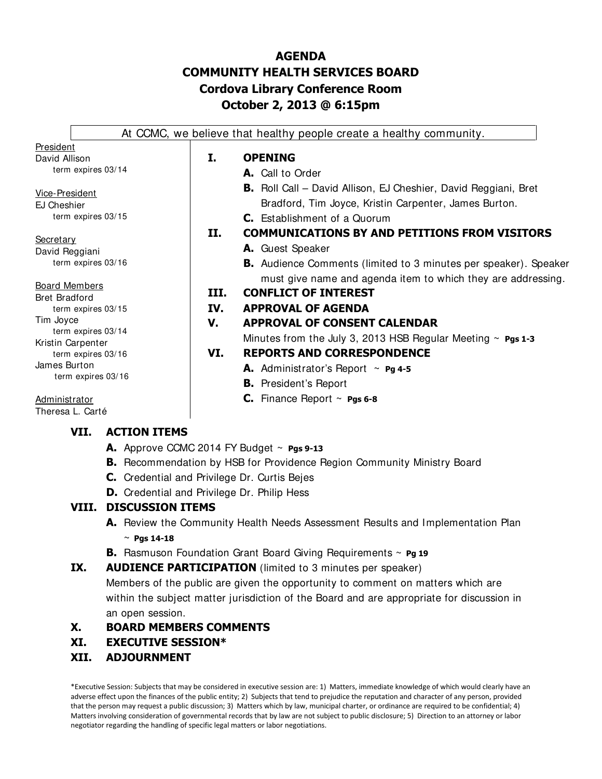# **AGENDA COMMUNITY HEALTH SERVICES BOARD Cordova Library Conference Room October 2, 2013 @ 6:15pm**

|                                    |                                         |      | At CCMC, we believe that healthy people create a healthy community.     |
|------------------------------------|-----------------------------------------|------|-------------------------------------------------------------------------|
| President                          |                                         |      |                                                                         |
| David Allison                      |                                         | I.   | <b>OPENING</b>                                                          |
|                                    | term expires 03/14                      |      | A. Call to Order                                                        |
| Vice-President                     |                                         |      | <b>B.</b> Roll Call – David Allison, EJ Cheshier, David Reggiani, Bret  |
| EJ Cheshier                        |                                         |      | Bradford, Tim Joyce, Kristin Carpenter, James Burton.                   |
|                                    | term expires 03/15                      |      | <b>C.</b> Establishment of a Quorum                                     |
|                                    |                                         | П.   | <b>COMMUNICATIONS BY AND PETITIONS FROM VISITORS</b>                    |
| <u>Secretary</u><br>David Reggiani |                                         |      | A. Guest Speaker                                                        |
|                                    | term expires 03/16                      |      | <b>B.</b> Audience Comments (limited to 3 minutes per speaker). Speaker |
| <u>Board Members</u>               |                                         |      | must give name and agenda item to which they are addressing.            |
| <b>Bret Bradford</b>               |                                         | III. | <b>CONFLICT OF INTEREST</b>                                             |
|                                    | term expires 03/15                      | IV.  | <b>APPROVAL OF AGENDA</b>                                               |
| Tim Jovce                          |                                         | V.   | <b>APPROVAL OF CONSENT CALENDAR</b>                                     |
|                                    | term expires 03/14<br>Kristin Carpenter |      | Minutes from the July 3, 2013 HSB Regular Meeting $\sim$ Pgs 1-3        |
|                                    | term expires 03/16                      | VI.  | <b>REPORTS AND CORRESPONDENCE</b>                                       |
| James Burton                       |                                         |      | <b>A.</b> Administrator's Report $\sim$ <b>Pg 4-5</b>                   |
|                                    | term expires 03/16                      |      | <b>B.</b> President's Report                                            |
| Administrator                      |                                         |      | <b>C.</b> Finance Report $\sim$ <b>Pgs 6-8</b>                          |
|                                    | Theresa L. Carté                        |      |                                                                         |
|                                    |                                         |      |                                                                         |

## **VII. ACTION ITEMS**

- **A.** Approve CCMC 2014 FY Budget ~ **Pgs 9-13**
- **B.** Recommendation by HSB for Providence Region Community Ministry Board
- **C.** Credential and Privilege Dr. Curtis Bejes
- **D.** Credential and Privilege Dr. Philip Hess

## **VIII. DISCUSSION ITEMS**

- **A.** Review the Community Health Needs Assessment Results and Implementation Plan ~ **Pgs 14-18**
- **B.** Rasmuson Foundation Grant Board Giving Requirements ~ **Pg 19**

## **IX. AUDIENCE PARTICIPATION** (limited to 3 minutes per speaker)

Members of the public are given the opportunity to comment on matters which are within the subject matter jurisdiction of the Board and are appropriate for discussion in an open session.

## **X. BOARD MEMBERS COMMENTS**

## **XI. EXECUTIVE SESSION\***

## **XII. ADJOURNMENT**

\*Executive Session: Subjects that may be considered in executive session are: 1) Matters, immediate knowledge of which would clearly have an adverse effect upon the finances of the public entity; 2) Subjects that tend to prejudice the reputation and character of any person, provided that the person may request a public discussion; 3) Matters which by law, municipal charter, or ordinance are required to be confidential; 4) Matters involving consideration of governmental records that by law are not subject to public disclosure; 5) Direction to an attorney or labor negotiator regarding the handling of specific legal matters or labor negotiations.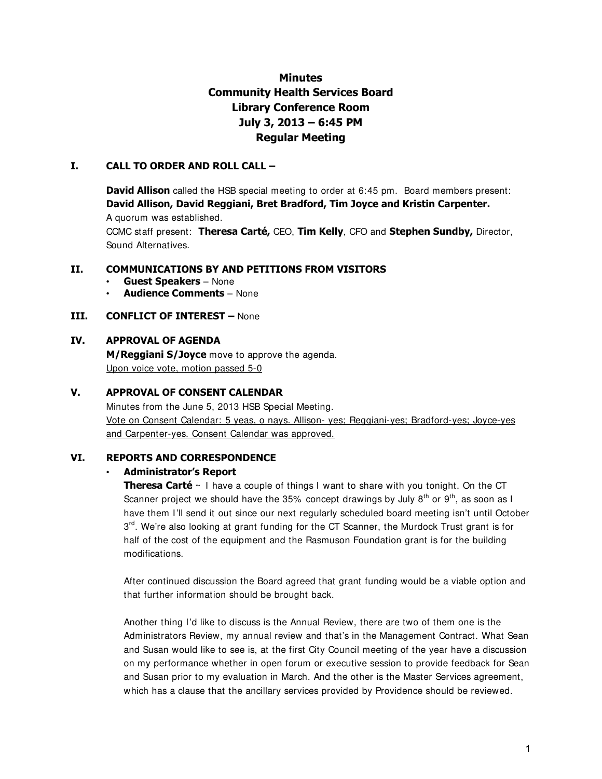# **Minutes Community Health Services Board Library Conference Room July 3, 2013 – 6:45 PM Regular Meeting**

#### **I. CALL TO ORDER AND ROLL CALL –**

**David Allison** called the HSB special meeting to order at 6:45 pm. Board members present: **David Allison, David Reggiani, Bret Bradford, Tim Joyce and Kristin Carpenter.** 

A quorum was established.

CCMC staff present: **Theresa Carté,** CEO, **Tim Kelly**, CFO and **Stephen Sundby,** Director, Sound Alternatives.

#### **II. COMMUNICATIONS BY AND PETITIONS FROM VISITORS**

- **Guest Speakers**  None
- **Audience Comments**  None

#### **III. CONFLICT OF INTEREST –** None

### **IV. APPROVAL OF AGENDA**

**M/Reggiani S/Joyce** move to approve the agenda. Upon voice vote, motion passed 5-0

#### **V. APPROVAL OF CONSENT CALENDAR**

Minutes from the June 5, 2013 HSB Special Meeting. Vote on Consent Calendar: 5 yeas, o nays. Allison- yes; Reggiani-yes; Bradford-yes; Joyce-yes and Carpenter-yes. Consent Calendar was approved.

#### **VI. REPORTS AND CORRESPONDENCE**

#### • **Administrator's Report**

**Theresa Carté** ~ I have a couple of things I want to share with you tonight. On the CT Scanner project we should have the 35% concept drawings by July 8<sup>th</sup> or 9<sup>th</sup>, as soon as I have them I'll send it out since our next regularly scheduled board meeting isn't until October 3<sup>rd</sup>. We're also looking at grant funding for the CT Scanner, the Murdock Trust grant is for half of the cost of the equipment and the Rasmuson Foundation grant is for the building modifications.

After continued discussion the Board agreed that grant funding would be a viable option and that further information should be brought back.

Another thing I'd like to discuss is the Annual Review, there are two of them one is the Administrators Review, my annual review and that's in the Management Contract. What Sean and Susan would like to see is, at the first City Council meeting of the year have a discussion on my performance whether in open forum or executive session to provide feedback for Sean and Susan prior to my evaluation in March. And the other is the Master Services agreement, which has a clause that the ancillary services provided by Providence should be reviewed.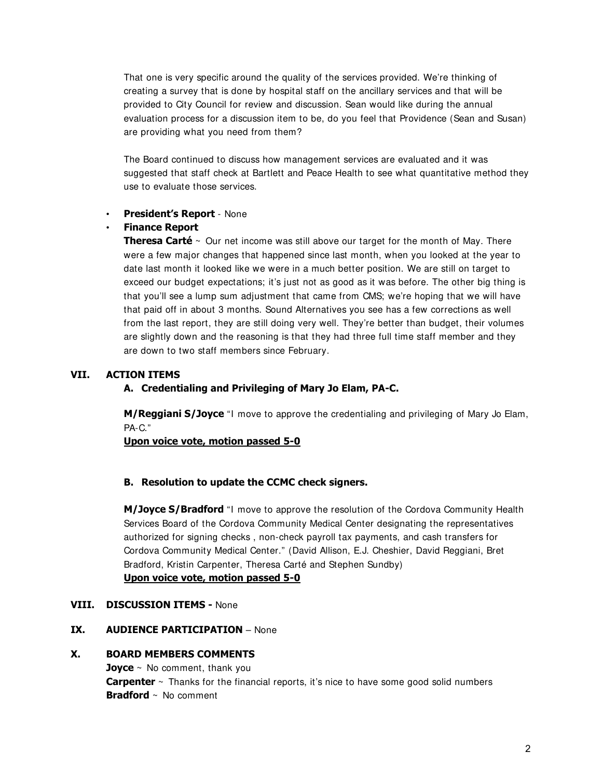That one is very specific around the quality of the services provided. We're thinking of creating a survey that is done by hospital staff on the ancillary services and that will be provided to City Council for review and discussion. Sean would like during the annual evaluation process for a discussion item to be, do you feel that Providence (Sean and Susan) are providing what you need from them?

The Board continued to discuss how management services are evaluated and it was suggested that staff check at Bartlett and Peace Health to see what quantitative method they use to evaluate those services.

#### • **President's Report** - None

#### • **Finance Report**

**Theresa Carté**  $\sim$  Our net income was still above our target for the month of May. There were a few major changes that happened since last month, when you looked at the year to date last month it looked like we were in a much better position. We are still on target to exceed our budget expectations; it's just not as good as it was before. The other big thing is that you'll see a lump sum adjustment that came from CMS; we're hoping that we will have that paid off in about 3 months. Sound Alternatives you see has a few corrections as well from the last report, they are still doing very well. They're better than budget, their volumes are slightly down and the reasoning is that they had three full time staff member and they are down to two staff members since February.

#### **VII. ACTION ITEMS**

#### **A. Credentialing and Privileging of Mary Jo Elam, PA-C.**

**M/Reggiani S/Joyce** "I move to approve the credentialing and privileging of Mary Jo Elam, PA-C."

**Upon voice vote, motion passed 5-0**

#### **B. Resolution to update the CCMC check signers.**

**M/Joyce S/Bradford** "I move to approve the resolution of the Cordova Community Health Services Board of the Cordova Community Medical Center designating the representatives authorized for signing checks , non-check payroll tax payments, and cash transfers for Cordova Community Medical Center." (David Allison, E.J. Cheshier, David Reggiani, Bret Bradford, Kristin Carpenter, Theresa Carté and Stephen Sundby) **Upon voice vote, motion passed 5-0**

#### **VIII. DISCUSSION ITEMS -** None

## **IX. AUDIENCE PARTICIPATION** – None

#### **X. BOARD MEMBERS COMMENTS**

**Joyce** ~ No comment, thank you **Carpenter** ~ Thanks for the financial reports, it's nice to have some good solid numbers **Bradford** ~ No comment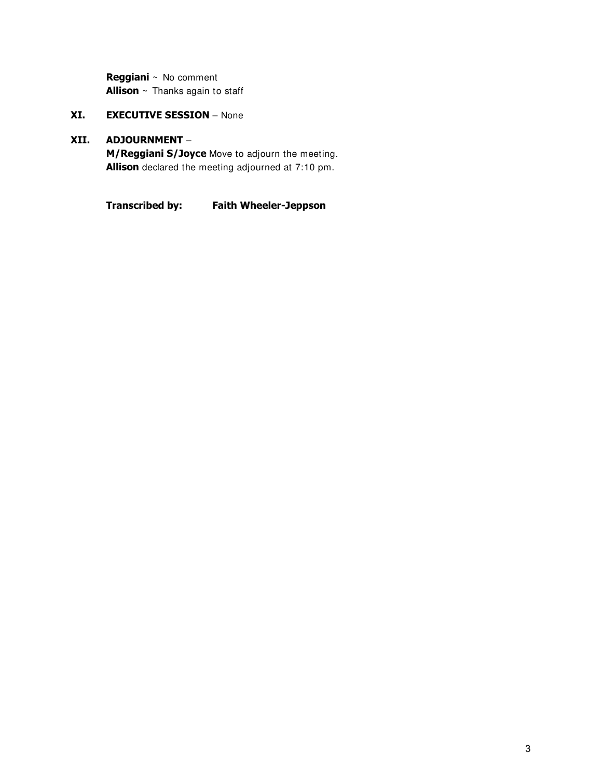**Reggiani** ~ No comment **Allison** ~ Thanks again to staff

## **XI. EXECUTIVE SESSION** – None

## **XII. ADJOURNMENT** –

**M/Reggiani S/Joyce** Move to adjourn the meeting. **Allison** declared the meeting adjourned at 7:10 pm.

**Transcribed by: Faith Wheeler-Jeppson**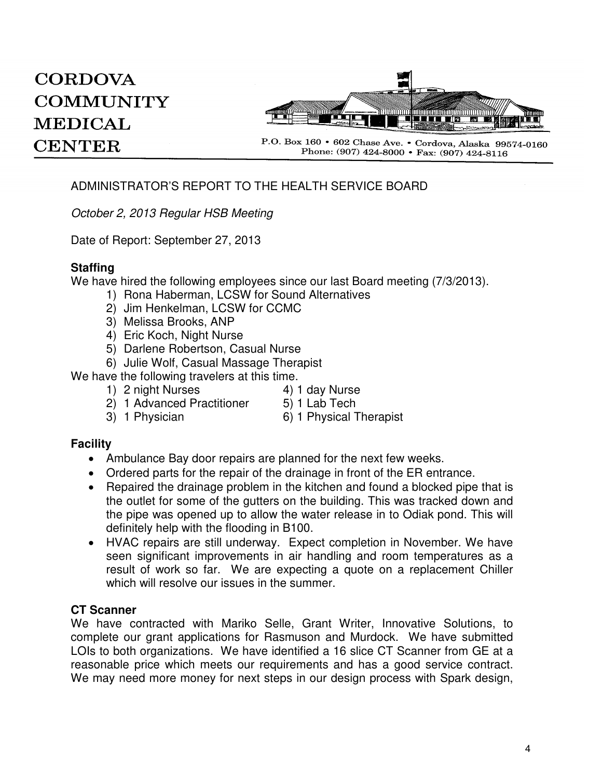# **CORDOVA COMMUNITY MEDICAL CENTER**



P.O. Box 160 • 602 Chase Ave. • Cordova, Alaska 99574-0160 Phone: (907) 424-8000 • Fax: (907) 424-8116

# ADMINISTRATOR'S REPORT TO THE HEALTH SERVICE BOARD

October 2, 2013 Regular HSB Meeting

Date of Report: September 27, 2013

# **Staffing**

We have hired the following employees since our last Board meeting (7/3/2013).

- 1) Rona Haberman, LCSW for Sound Alternatives
- 2) Jim Henkelman, LCSW for CCMC
- 3) Melissa Brooks, ANP
- 4) Eric Koch, Night Nurse
- 5) Darlene Robertson, Casual Nurse
- 6) Julie Wolf, Casual Massage Therapist

We have the following travelers at this time.

- 1) 2 night Nurses 4) 1 day Nurse
	-
- 2) 1 Advanced Practitioner 5) 1 Lab Tech
	-
- 
- 3) 1 Physician 6) 1 Physical Therapist

## **Facility**

- Ambulance Bay door repairs are planned for the next few weeks.
- Ordered parts for the repair of the drainage in front of the ER entrance.
- Repaired the drainage problem in the kitchen and found a blocked pipe that is the outlet for some of the gutters on the building. This was tracked down and the pipe was opened up to allow the water release in to Odiak pond. This will definitely help with the flooding in B100.
- HVAC repairs are still underway. Expect completion in November. We have seen significant improvements in air handling and room temperatures as a result of work so far. We are expecting a quote on a replacement Chiller which will resolve our issues in the summer.

## **CT Scanner**

We have contracted with Mariko Selle, Grant Writer, Innovative Solutions, to complete our grant applications for Rasmuson and Murdock. We have submitted LOIs to both organizations. We have identified a 16 slice CT Scanner from GE at a reasonable price which meets our requirements and has a good service contract. We may need more money for next steps in our design process with Spark design,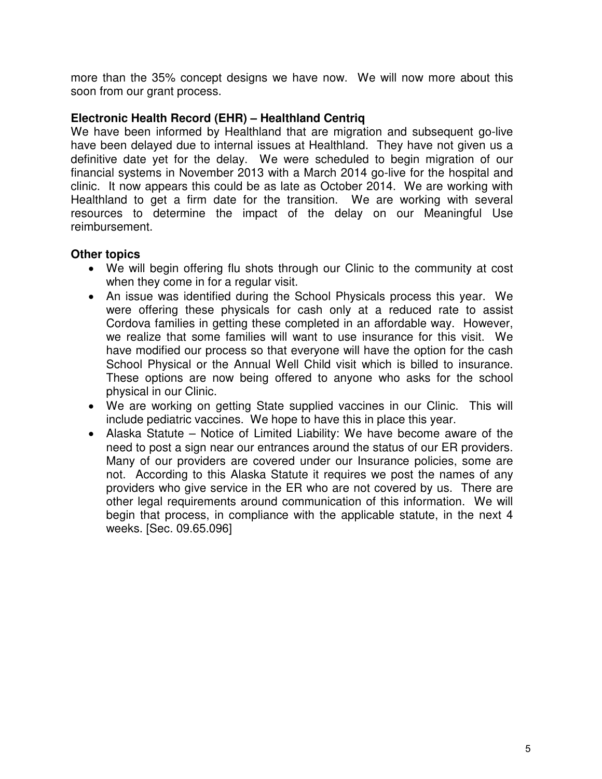more than the 35% concept designs we have now. We will now more about this soon from our grant process.

# **Electronic Health Record (EHR) – Healthland Centriq**

We have been informed by Healthland that are migration and subsequent go-live have been delayed due to internal issues at Healthland. They have not given us a definitive date yet for the delay. We were scheduled to begin migration of our financial systems in November 2013 with a March 2014 go-live for the hospital and clinic. It now appears this could be as late as October 2014. We are working with Healthland to get a firm date for the transition. We are working with several resources to determine the impact of the delay on our Meaningful Use reimbursement.

# **Other topics**

- We will begin offering flu shots through our Clinic to the community at cost when they come in for a regular visit.
- An issue was identified during the School Physicals process this year. We were offering these physicals for cash only at a reduced rate to assist Cordova families in getting these completed in an affordable way. However, we realize that some families will want to use insurance for this visit. We have modified our process so that everyone will have the option for the cash School Physical or the Annual Well Child visit which is billed to insurance. These options are now being offered to anyone who asks for the school physical in our Clinic.
- We are working on getting State supplied vaccines in our Clinic. This will include pediatric vaccines. We hope to have this in place this year.
- Alaska Statute Notice of Limited Liability: We have become aware of the need to post a sign near our entrances around the status of our ER providers. Many of our providers are covered under our Insurance policies, some are not. According to this Alaska Statute it requires we post the names of any providers who give service in the ER who are not covered by us. There are other legal requirements around communication of this information. We will begin that process, in compliance with the applicable statute, in the next 4 weeks. [Sec. 09.65.096]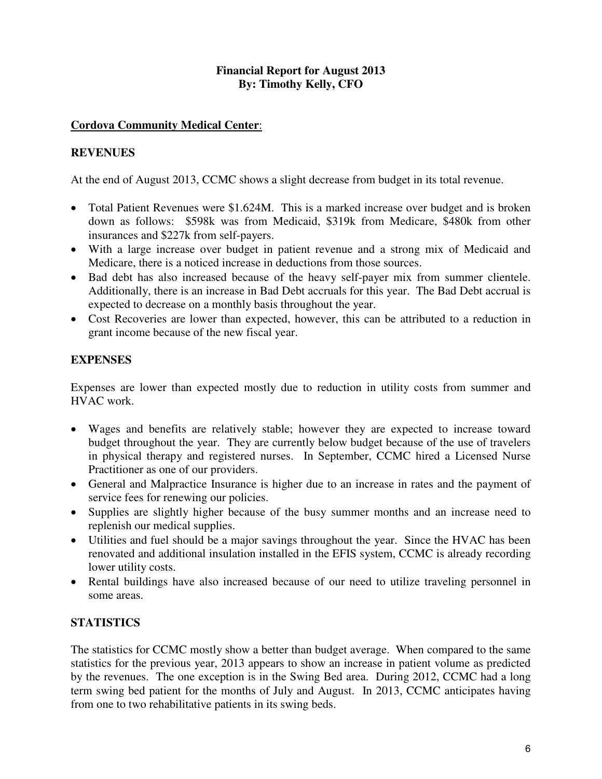## **Financial Report for August 2013 By: Timothy Kelly, CFO**

## **Cordova Community Medical Center**:

# **REVENUES**

At the end of August 2013, CCMC shows a slight decrease from budget in its total revenue.

- Total Patient Revenues were \$1.624M. This is a marked increase over budget and is broken down as follows: \$598k was from Medicaid, \$319k from Medicare, \$480k from other insurances and \$227k from self-payers.
- With a large increase over budget in patient revenue and a strong mix of Medicaid and Medicare, there is a noticed increase in deductions from those sources.
- Bad debt has also increased because of the heavy self-payer mix from summer clientele. Additionally, there is an increase in Bad Debt accruals for this year. The Bad Debt accrual is expected to decrease on a monthly basis throughout the year.
- Cost Recoveries are lower than expected, however, this can be attributed to a reduction in grant income because of the new fiscal year.

## **EXPENSES**

Expenses are lower than expected mostly due to reduction in utility costs from summer and HVAC work.

- Wages and benefits are relatively stable; however they are expected to increase toward budget throughout the year. They are currently below budget because of the use of travelers in physical therapy and registered nurses. In September, CCMC hired a Licensed Nurse Practitioner as one of our providers.
- General and Malpractice Insurance is higher due to an increase in rates and the payment of service fees for renewing our policies.
- Supplies are slightly higher because of the busy summer months and an increase need to replenish our medical supplies.
- Utilities and fuel should be a major savings throughout the year. Since the HVAC has been renovated and additional insulation installed in the EFIS system, CCMC is already recording lower utility costs.
- Rental buildings have also increased because of our need to utilize traveling personnel in some areas.

# **STATISTICS**

The statistics for CCMC mostly show a better than budget average. When compared to the same statistics for the previous year, 2013 appears to show an increase in patient volume as predicted by the revenues. The one exception is in the Swing Bed area. During 2012, CCMC had a long term swing bed patient for the months of July and August. In 2013, CCMC anticipates having from one to two rehabilitative patients in its swing beds.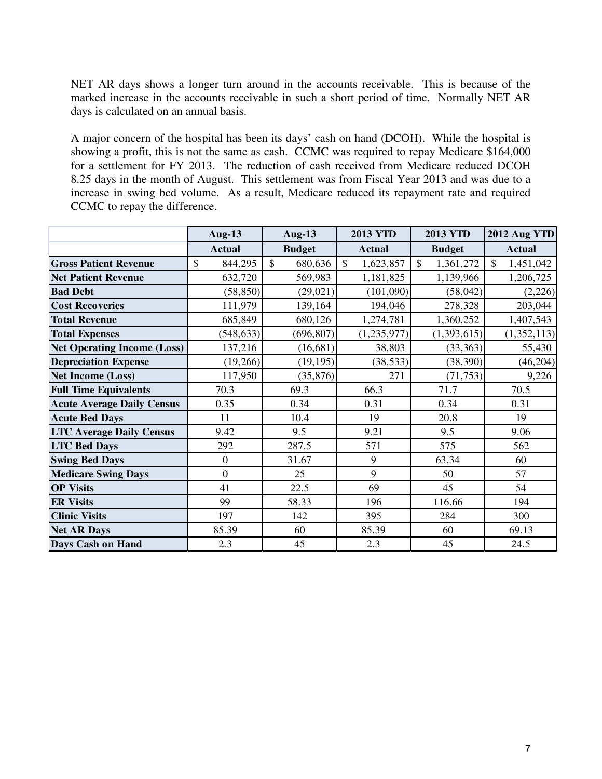NET AR days shows a longer turn around in the accounts receivable. This is because of the marked increase in the accounts receivable in such a short period of time. Normally NET AR days is calculated on an annual basis.

A major concern of the hospital has been its days' cash on hand (DCOH). While the hospital is showing a profit, this is not the same as cash. CCMC was required to repay Medicare \$164,000 for a settlement for FY 2013. The reduction of cash received from Medicare reduced DCOH 8.25 days in the month of August. This settlement was from Fiscal Year 2013 and was due to a increase in swing bed volume. As a result, Medicare reduced its repayment rate and required CCMC to repay the difference.

|                                    | <b>Aug-13</b>            | <b>Aug-13</b>           | <b>2013 YTD</b>           | <b>2013 YTD</b>            | 2012 Aug YTD              |
|------------------------------------|--------------------------|-------------------------|---------------------------|----------------------------|---------------------------|
|                                    | <b>Actual</b>            | <b>Budget</b>           | <b>Actual</b>             | <b>Budget</b>              | <b>Actual</b>             |
| <b>Gross Patient Revenue</b>       | $\mathcal{S}$<br>844,295 | $\mathbb{S}$<br>680,636 | $\mathbb{S}$<br>1,623,857 | $\mathcal{S}$<br>1,361,272 | $\mathbb{S}$<br>1,451,042 |
| <b>Net Patient Revenue</b>         | 632,720                  | 569,983                 | 1,181,825                 | 1,139,966                  | 1,206,725                 |
| <b>Bad Debt</b>                    | (58, 850)                | (29, 021)               | (101,090)                 | (58, 042)                  | (2,226)                   |
| <b>Cost Recoveries</b>             | 111,979                  | 139,164                 | 194,046                   | 278,328                    | 203,044                   |
| <b>Total Revenue</b>               | 685,849                  | 680,126                 | 1,274,781                 | 1,360,252                  | 1,407,543                 |
| <b>Total Expenses</b>              | (548, 633)               | (696, 807)              | (1, 235, 977)             | (1,393,615)                | (1,352,113)               |
| <b>Net Operating Income (Loss)</b> | 137,216                  | (16, 681)               | 38,803                    | (33, 363)                  | 55,430                    |
| <b>Depreciation Expense</b>        | (19,266)                 | (19, 195)               | (38, 533)                 | (38, 390)                  | (46, 204)                 |
| <b>Net Income (Loss)</b>           | 117,950                  | (35,876)                | 271                       | (71, 753)                  | 9,226                     |
| <b>Full Time Equivalents</b>       | 70.3                     | 69.3                    | 66.3                      | 71.7                       | 70.5                      |
| <b>Acute Average Daily Census</b>  | 0.35                     | 0.34                    | 0.31                      | 0.34                       | 0.31                      |
| <b>Acute Bed Days</b>              | 11                       | 10.4                    | 19                        | 20.8                       | 19                        |
| <b>LTC Average Daily Census</b>    | 9.42                     | 9.5                     | 9.21                      | 9.5                        | 9.06                      |
| <b>LTC Bed Days</b>                | 292                      | 287.5                   | 571                       | 575                        | 562                       |
| <b>Swing Bed Days</b>              | $\boldsymbol{0}$         | 31.67                   | 9                         | 63.34                      | 60                        |
| <b>Medicare Swing Days</b>         | $\boldsymbol{0}$         | 25                      | 9                         | 50                         | 57                        |
| <b>OP Visits</b>                   | 41                       | 22.5                    | 69                        | 45                         | 54                        |
| <b>ER Visits</b>                   | 99                       | 58.33                   | 196                       | 116.66                     | 194                       |
| <b>Clinic Visits</b>               | 197                      | 142                     | 395                       | 284                        | 300                       |
| <b>Net AR Days</b>                 | 85.39                    | 60                      | 85.39                     | 60                         | 69.13                     |
| <b>Days Cash on Hand</b>           | 2.3                      | 45                      | 2.3                       | 45                         | 24.5                      |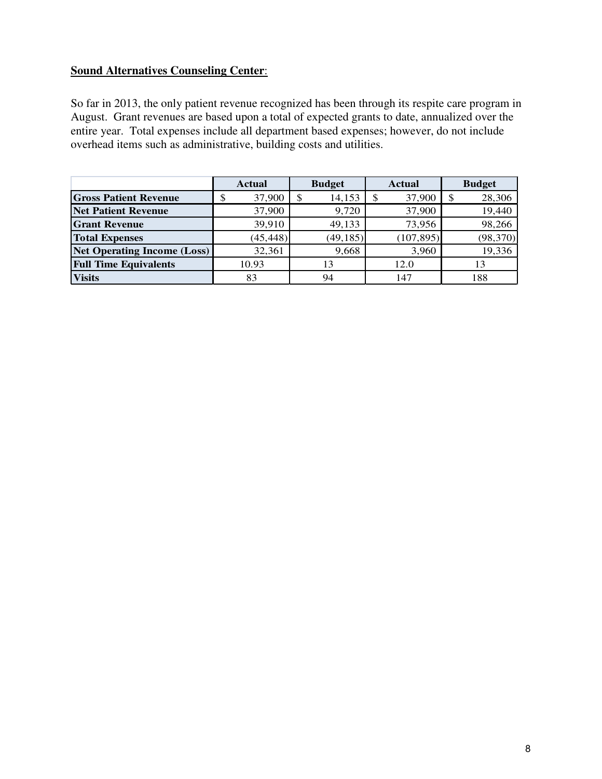# **Sound Alternatives Counseling Center**:

So far in 2013, the only patient revenue recognized has been through its respite care program in August. Grant revenues are based upon a total of expected grants to date, annualized over the entire year. Total expenses include all department based expenses; however, do not include overhead items such as administrative, building costs and utilities.

|                                    | <b>Actual</b> | <b>Budget</b> | <b>Actual</b> | <b>Budget</b> |
|------------------------------------|---------------|---------------|---------------|---------------|
| <b>Gross Patient Revenue</b>       | 37,900        | 14,153<br>\$  | 37,900        | 28,306        |
| <b>Net Patient Revenue</b>         | 37,900        | 9,720         | 37,900        | 19,440        |
| <b>Grant Revenue</b>               | 39,910        | 49,133        | 73,956        | 98,266        |
| <b>Total Expenses</b>              | (45, 448)     | (49, 185)     | (107, 895)    | (98, 370)     |
| <b>Net Operating Income (Loss)</b> | 32,361        | 9,668         | 3,960         | 19,336        |
| <b>Full Time Equivalents</b>       | 10.93         | 13            | 12.0          | 13            |
| <b>Visits</b>                      | 83            | 94            | 147           | 188           |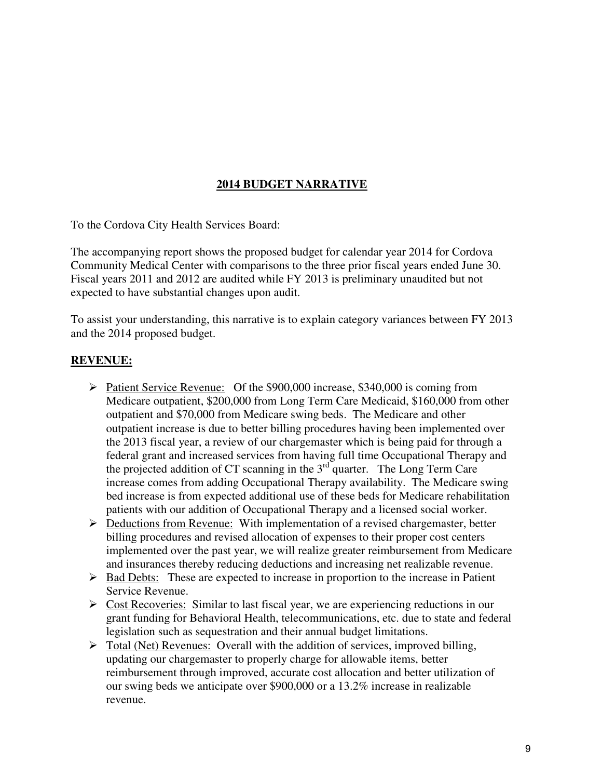# **2014 BUDGET NARRATIVE**

To the Cordova City Health Services Board:

The accompanying report shows the proposed budget for calendar year 2014 for Cordova Community Medical Center with comparisons to the three prior fiscal years ended June 30. Fiscal years 2011 and 2012 are audited while FY 2013 is preliminary unaudited but not expected to have substantial changes upon audit.

To assist your understanding, this narrative is to explain category variances between FY 2013 and the 2014 proposed budget.

## **REVENUE:**

- Patient Service Revenue: Of the \$900,000 increase, \$340,000 is coming from Medicare outpatient, \$200,000 from Long Term Care Medicaid, \$160,000 from other outpatient and \$70,000 from Medicare swing beds. The Medicare and other outpatient increase is due to better billing procedures having been implemented over the 2013 fiscal year, a review of our chargemaster which is being paid for through a federal grant and increased services from having full time Occupational Therapy and the projected addition of CT scanning in the  $3<sup>rd</sup>$  quarter. The Long Term Care increase comes from adding Occupational Therapy availability. The Medicare swing bed increase is from expected additional use of these beds for Medicare rehabilitation patients with our addition of Occupational Therapy and a licensed social worker.
- $\triangleright$  Deductions from Revenue: With implementation of a revised chargemaster, better billing procedures and revised allocation of expenses to their proper cost centers implemented over the past year, we will realize greater reimbursement from Medicare and insurances thereby reducing deductions and increasing net realizable revenue.
- $\triangleright$  Bad Debts: These are expected to increase in proportion to the increase in Patient Service Revenue.
- $\triangleright$  Cost Recoveries: Similar to last fiscal year, we are experiencing reductions in our grant funding for Behavioral Health, telecommunications, etc. due to state and federal legislation such as sequestration and their annual budget limitations.
- $\triangleright$  Total (Net) Revenues: Overall with the addition of services, improved billing, updating our chargemaster to properly charge for allowable items, better reimbursement through improved, accurate cost allocation and better utilization of our swing beds we anticipate over \$900,000 or a 13.2% increase in realizable revenue.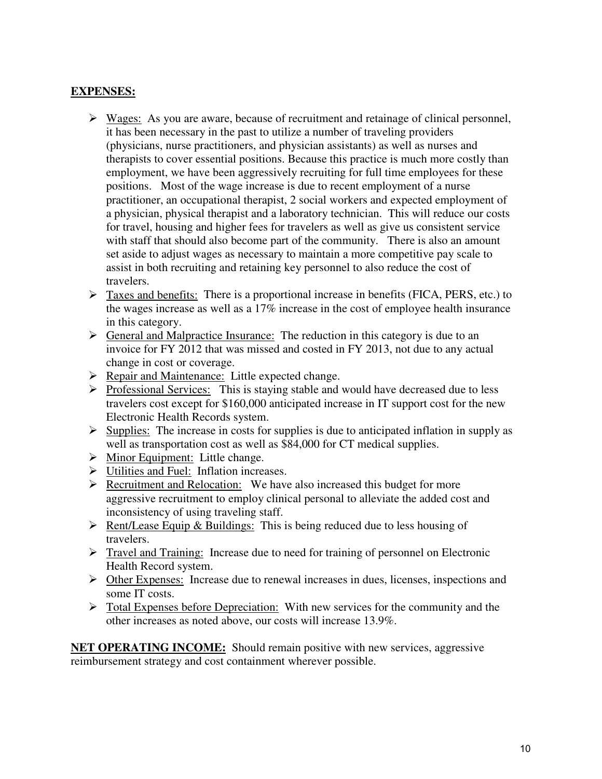# **EXPENSES:**

- $\triangleright$  Wages: As you are aware, because of recruitment and retainage of clinical personnel, it has been necessary in the past to utilize a number of traveling providers (physicians, nurse practitioners, and physician assistants) as well as nurses and therapists to cover essential positions. Because this practice is much more costly than employment, we have been aggressively recruiting for full time employees for these positions. Most of the wage increase is due to recent employment of a nurse practitioner, an occupational therapist, 2 social workers and expected employment of a physician, physical therapist and a laboratory technician. This will reduce our costs for travel, housing and higher fees for travelers as well as give us consistent service with staff that should also become part of the community. There is also an amount set aside to adjust wages as necessary to maintain a more competitive pay scale to assist in both recruiting and retaining key personnel to also reduce the cost of travelers.
- $\triangleright$  Taxes and benefits: There is a proportional increase in benefits (FICA, PERS, etc.) to the wages increase as well as a 17% increase in the cost of employee health insurance in this category.
- $\triangleright$  General and Malpractice Insurance: The reduction in this category is due to an invoice for FY 2012 that was missed and costed in FY 2013, not due to any actual change in cost or coverage.
- $\triangleright$  Repair and Maintenance: Little expected change.
- $\triangleright$  Professional Services: This is staying stable and would have decreased due to less travelers cost except for \$160,000 anticipated increase in IT support cost for the new Electronic Health Records system.
- $\triangleright$  Supplies: The increase in costs for supplies is due to anticipated inflation in supply as well as transportation cost as well as \$84,000 for CT medical supplies.
- $\triangleright$  Minor Equipment: Little change.
- Utilities and Fuel: Inflation increases.
- $\triangleright$  Recruitment and Relocation: We have also increased this budget for more aggressive recruitment to employ clinical personal to alleviate the added cost and inconsistency of using traveling staff.
- $\triangleright$  Rent/Lease Equip & Buildings: This is being reduced due to less housing of travelers.
- $\triangleright$  Travel and Training: Increase due to need for training of personnel on Electronic Health Record system.
- Other Expenses: Increase due to renewal increases in dues, licenses, inspections and some IT costs.
- $\triangleright$  Total Expenses before Depreciation: With new services for the community and the other increases as noted above, our costs will increase 13.9%.

**NET OPERATING INCOME:** Should remain positive with new services, aggressive reimbursement strategy and cost containment wherever possible.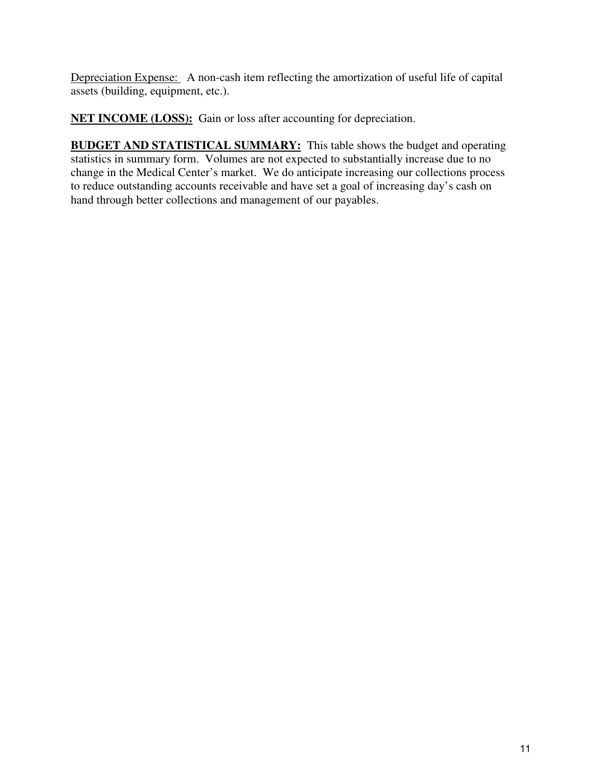Depreciation Expense: A non-cash item reflecting the amortization of useful life of capital assets (building, equipment, etc.).

**NET INCOME (LOSS):** Gain or loss after accounting for depreciation.

**BUDGET AND STATISTICAL SUMMARY:** This table shows the budget and operating statistics in summary form. Volumes are not expected to substantially increase due to no change in the Medical Center's market. We do anticipate increasing our collections process to reduce outstanding accounts receivable and have set a goal of increasing day's cash on hand through better collections and management of our payables.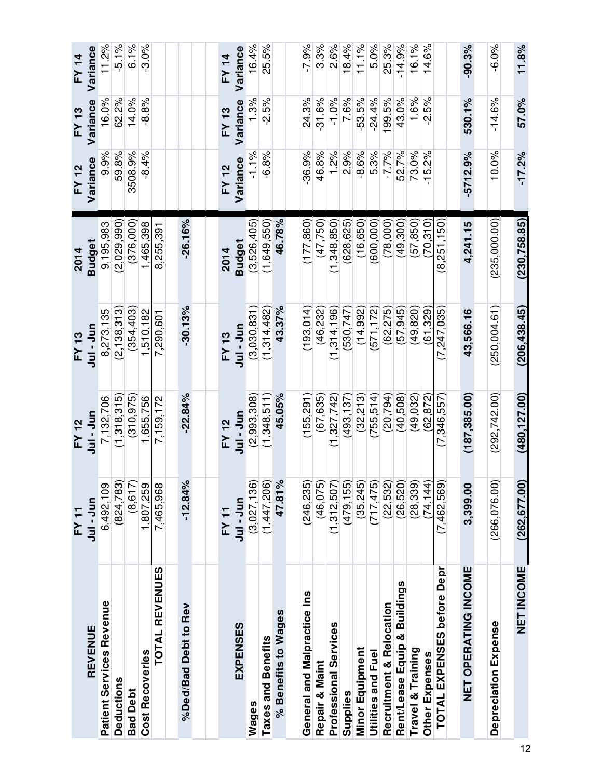|                              | FY 11         | <b>FY 12</b>  | ≿               | 2014          | FY 12      | FY 13    | FY 14        |
|------------------------------|---------------|---------------|-----------------|---------------|------------|----------|--------------|
| REVENUE                      | Jul-Jun       | Jul-Jul       | Jul-Jun         | <b>Budget</b> | Variance   | Variance | Variance     |
| Patient Services Revenue     | 6,492,109     | 7,132,706     | 8,273,135       | 9,195,983     | 9.9%       | 16.0%    | 11.2%        |
| Deductions                   | (824,783      | (1,318,315)   | (2, 138, 313)   | (2,029,990)   | 59.8%      | 62.2%    | $-5.1%$      |
| <b>Bad Debt</b>              | (8, 617)      | (310, 975)    | (354, 403)      | (376,000)     | 3508.9%    | 14.0%    | 6.1%         |
| <b>Cost Recoveries</b>       | 1,807,259     | ,655,756      | 1,510,182       | 465,398       | $-8.4%$    | -8%      | $-3.0%$      |
| <b>TOTAL REVENUES</b>        | 7,465,968     | 7,159,172     | 7,290,601       | 8,255,391     |            |          |              |
|                              |               |               |                 |               |            |          |              |
| %Ded/Bad Debt to Rev         | $-12.84%$     | $-22.84%$     | $-30.13%$       | $-26.16%$     |            |          |              |
|                              |               |               |                 |               |            |          |              |
|                              | <b>FY 11</b>  | FY 12         | FY 13           | 2014          | FY 12      | FY 13    | <b>FY 14</b> |
| <b>EXPENSES</b>              | Sin-Jur       | Jul-Jur       | ココーココ           | <b>Budget</b> | Variance   | Variance | Variance     |
| Wages                        | (3,027,136)   | (2,993,308)   | (3,030,831)     | (3,526,405)   | $-1.1%$    | 1.3%     | 16.4%        |
| Taxes and Benefits           | (1,447,206)   | (1,348,511)   | (1,314,482)     | (1,649,550)   | $-6.8%$    | $-2.5%$  | 25.5%        |
| % Benefits to Wages          | 47.81%        | 45.05%        | 43.37%          | 46.78%        |            |          |              |
|                              |               |               |                 |               |            |          |              |
| General and Malpractice Ins  | (246,235)     | (155, 291)    | (193, 014)      | (177, 860)    | $-36.9%$   | 24.3%    | $-7.9%$      |
| Repair & Maint               | (46, 075)     | (67, 635)     | (46,232)        | (47, 750)     | 46.8%      | $-31.6%$ | 3.3%         |
| Professional Services        | (1,312,507)   | 327,742)      | .314, 196)<br>Ē | .348.850      | 1.2%       | $-1.0%$  | 2.6%         |
| Supplies                     | (479, 155)    | (493, 137)    | 530,747)        | 628,625       | 2.9%       | 7.6%     | 18.4%        |
| Minor Equipment              | (35, 245)     | (32, 213)     | (14, 992)       | (16, 650)     | $-8.6%$    | $-53.5%$ | 11.1%        |
| Utilities and Fuel           | (717, 475)    | (755, 514)    | (571, 172)      | (600,000)     | 5.3%       | $-24.4%$ | 5.0%         |
| Recruitment & Relocation     | (22, 532)     | (20, 794)     | (62, 275)       | (78,000)      | $-7.7%$    | 199.5%   | 25.3%        |
| Rent/Lease Equip & Buildings | (26, 520)     | (40, 508)     | (57, 945)       | (49, 300)     | 52.7%      | 43.0%    | $-14.9%$     |
| Travel & Training            | (28, 339)     | (49,032)      | 49.820)         | (57, 850)     | 73.0%      | 1.6%     | 16.1%        |
| Other Expenses               | 74,144        | 62.872        | (61.329)        | 70.310        | $-15.2%$   | $-2.5%$  | 14.6%        |
| TOTAL EXPENSES before Depr   | (7,462,569)   | (7,346,557)   | (7,247,035)     | (8,251,150)   |            |          |              |
| NET OPERATING INCOME         | 3,399.00      | (187, 385.00) | 43,566.16       | 4,241.15      | $-5712.9%$ | 530.1%   | $-90.3\%$    |
|                              |               |               |                 |               |            |          |              |
| Depreciation Expense         | (266,076.00   | (292, 742.00) | (250,004.61)    | (235,000.00)  | 10.0%      | $-14.6%$ | -6.0%        |
| <b>NET INCOME</b>            | (262, 677.00) | (480, 127.00) | (206, 438.45)   | (230, 758.85) | $-17.2%$   | 57.0%    | 11.8%        |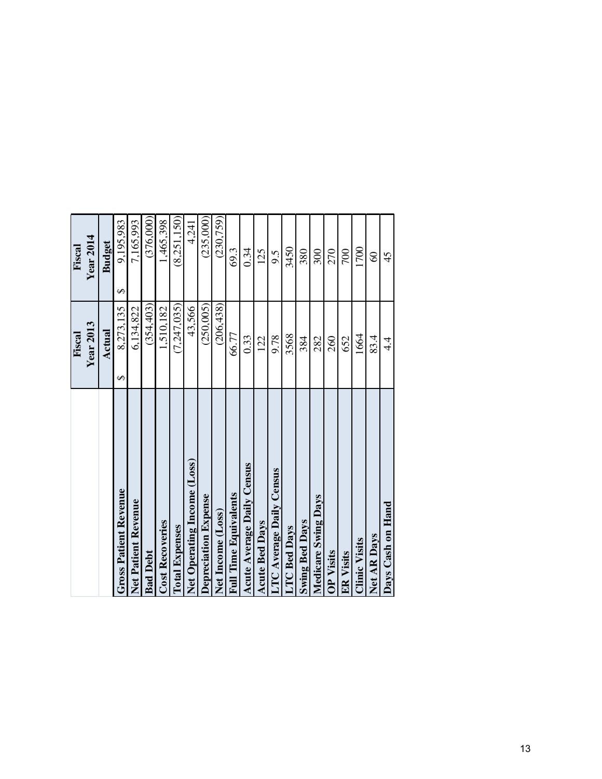|                                 | Fiscal         | Fiscal           |
|---------------------------------|----------------|------------------|
|                                 | Year2013       | <b>Year 2014</b> |
|                                 | Actual         | <b>Budget</b>    |
| <b>Gross Patient Revenue</b>    | 8,273,135<br>↮ | 9,195,983<br>↮   |
| Net Patient Revenue             | 6,134,822      | 7,165,993        |
| <b>Bad Debt</b>                 | (354, 403)     | (376,000)        |
| <b>Cost Recoveries</b>          | 1,510,182      | 1,465,398        |
| <b>Total Expenses</b>           | (7, 247, 035)  | (8,251,150)      |
| Net Operating Income (Loss)     | 43,566         | 4,241            |
| Depreciation Expense            | (250,005)      | (235,000)        |
| Net Income (Loss)               | (206, 438)     | (230, 759)       |
| <b>Full Time Equivalents</b>    | 66.77          | 69.3             |
| Acute Average Daily Census      | 0.33           | 0.34             |
| <b>Acute Bed Days</b>           | 122            | 125              |
| <b>LTC Average Daily Census</b> | 9.78           | 9.5              |
| <b>LTC</b> Bed Days             | 3568           | 3450             |
| <b>Swing Bed Days</b>           | 384            | 380              |
| <b>Medicare Swing Days</b>      | 282            | 300              |
| <b>OP Visits</b>                | 260            | 270              |
| <b>ER Visits</b>                | 652            | 700              |
| <b>Clinic Visits</b>            | 1664           | 1700             |
| Net AR Days                     | 83.4           | $\Im$            |
| Days Cash on Hand               | 4.4            | 45               |
|                                 |                |                  |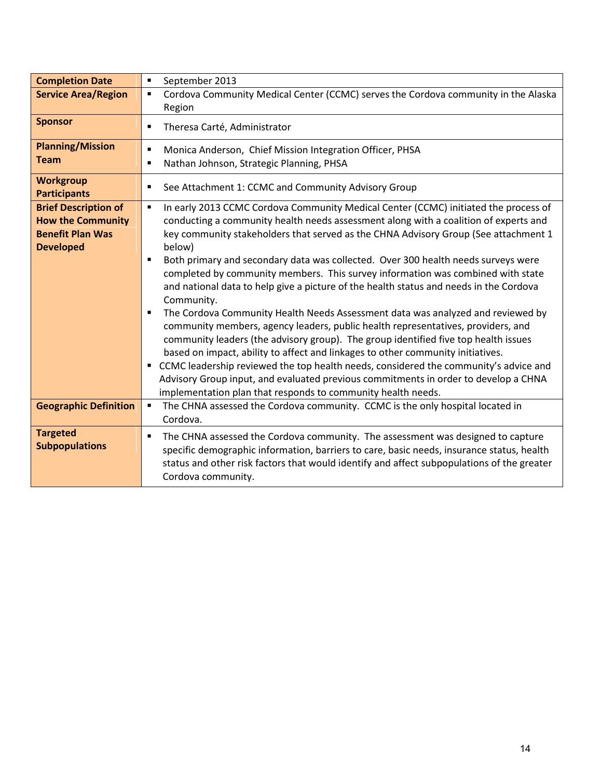| <b>Completion Date</b>                  | September 2013<br>٠                                                                                   |
|-----------------------------------------|-------------------------------------------------------------------------------------------------------|
| <b>Service Area/Region</b>              | Cordova Community Medical Center (CCMC) serves the Cordova community in the Alaska<br>$\blacksquare$  |
|                                         | Region                                                                                                |
| <b>Sponsor</b>                          | Theresa Carté, Administrator<br>$\blacksquare$                                                        |
| <b>Planning/Mission</b>                 | Monica Anderson, Chief Mission Integration Officer, PHSA<br>$\blacksquare$                            |
| <b>Team</b>                             | Nathan Johnson, Strategic Planning, PHSA<br>$\blacksquare$                                            |
| <b>Workgroup</b><br><b>Participants</b> | See Attachment 1: CCMC and Community Advisory Group<br>$\blacksquare$                                 |
| <b>Brief Description of</b>             | In early 2013 CCMC Cordova Community Medical Center (CCMC) initiated the process of<br>$\blacksquare$ |
| <b>How the Community</b>                | conducting a community health needs assessment along with a coalition of experts and                  |
| <b>Benefit Plan Was</b>                 | key community stakeholders that served as the CHNA Advisory Group (See attachment 1                   |
| <b>Developed</b>                        | below)                                                                                                |
|                                         | Both primary and secondary data was collected. Over 300 health needs surveys were<br>$\blacksquare$   |
|                                         | completed by community members. This survey information was combined with state                       |
|                                         | and national data to help give a picture of the health status and needs in the Cordova<br>Community.  |
|                                         | The Cordova Community Health Needs Assessment data was analyzed and reviewed by                       |
|                                         | community members, agency leaders, public health representatives, providers, and                      |
|                                         | community leaders (the advisory group). The group identified five top health issues                   |
|                                         | based on impact, ability to affect and linkages to other community initiatives.                       |
|                                         | CCMC leadership reviewed the top health needs, considered the community's advice and                  |
|                                         | Advisory Group input, and evaluated previous commitments in order to develop a CHNA                   |
|                                         | implementation plan that responds to community health needs.                                          |
| <b>Geographic Definition</b>            | The CHNA assessed the Cordova community. CCMC is the only hospital located in<br>٠                    |
|                                         | Cordova.                                                                                              |
| <b>Targeted</b>                         | The CHNA assessed the Cordova community. The assessment was designed to capture<br>$\blacksquare$     |
| <b>Subpopulations</b>                   | specific demographic information, barriers to care, basic needs, insurance status, health             |
|                                         | status and other risk factors that would identify and affect subpopulations of the greater            |
|                                         | Cordova community.                                                                                    |
|                                         |                                                                                                       |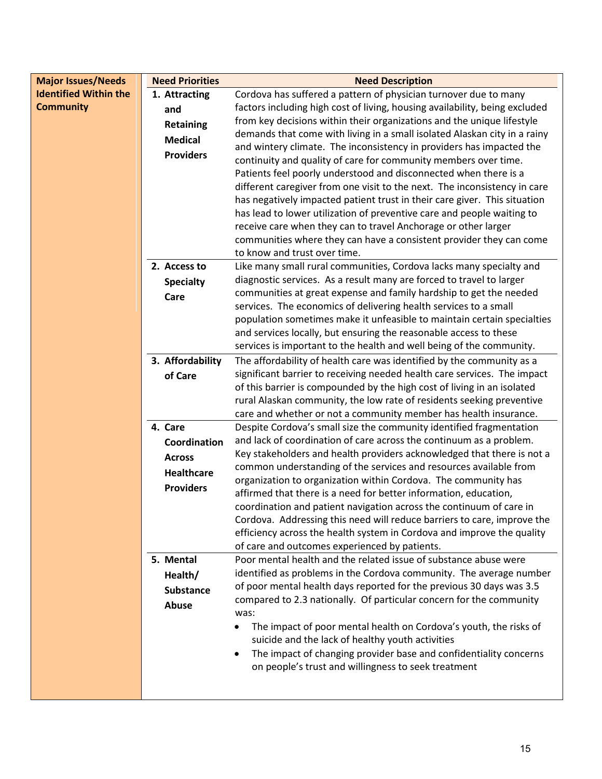| <b>Major Issues/Needs</b>    | <b>Need Priorities</b> | <b>Need Description</b>                                                                                                                   |
|------------------------------|------------------------|-------------------------------------------------------------------------------------------------------------------------------------------|
| <b>Identified Within the</b> | 1. Attracting          | Cordova has suffered a pattern of physician turnover due to many                                                                          |
| <b>Community</b>             | and                    | factors including high cost of living, housing availability, being excluded                                                               |
|                              | <b>Retaining</b>       | from key decisions within their organizations and the unique lifestyle                                                                    |
|                              | <b>Medical</b>         | demands that come with living in a small isolated Alaskan city in a rainy                                                                 |
|                              | <b>Providers</b>       | and wintery climate. The inconsistency in providers has impacted the                                                                      |
|                              |                        | continuity and quality of care for community members over time.                                                                           |
|                              |                        | Patients feel poorly understood and disconnected when there is a                                                                          |
|                              |                        | different caregiver from one visit to the next. The inconsistency in care                                                                 |
|                              |                        | has negatively impacted patient trust in their care giver. This situation                                                                 |
|                              |                        | has lead to lower utilization of preventive care and people waiting to                                                                    |
|                              |                        | receive care when they can to travel Anchorage or other larger                                                                            |
|                              |                        | communities where they can have a consistent provider they can come                                                                       |
|                              |                        | to know and trust over time.                                                                                                              |
|                              | 2. Access to           | Like many small rural communities, Cordova lacks many specialty and                                                                       |
|                              | <b>Specialty</b>       | diagnostic services. As a result many are forced to travel to larger                                                                      |
|                              | Care                   | communities at great expense and family hardship to get the needed                                                                        |
|                              |                        | services. The economics of delivering health services to a small                                                                          |
|                              |                        | population sometimes make it unfeasible to maintain certain specialties                                                                   |
|                              |                        | and services locally, but ensuring the reasonable access to these                                                                         |
|                              |                        | services is important to the health and well being of the community.                                                                      |
|                              | 3. Affordability       | The affordability of health care was identified by the community as a                                                                     |
|                              | of Care                | significant barrier to receiving needed health care services. The impact                                                                  |
|                              |                        | of this barrier is compounded by the high cost of living in an isolated                                                                   |
|                              |                        | rural Alaskan community, the low rate of residents seeking preventive<br>care and whether or not a community member has health insurance. |
|                              | 4. Care                | Despite Cordova's small size the community identified fragmentation                                                                       |
|                              | Coordination           | and lack of coordination of care across the continuum as a problem.                                                                       |
|                              |                        | Key stakeholders and health providers acknowledged that there is not a                                                                    |
|                              | <b>Across</b>          | common understanding of the services and resources available from                                                                         |
|                              | <b>Healthcare</b>      | organization to organization within Cordova. The community has                                                                            |
|                              | <b>Providers</b>       | affirmed that there is a need for better information, education,                                                                          |
|                              |                        | coordination and patient navigation across the continuum of care in                                                                       |
|                              |                        | Cordova. Addressing this need will reduce barriers to care, improve the                                                                   |
|                              |                        | efficiency across the health system in Cordova and improve the quality                                                                    |
|                              |                        | of care and outcomes experienced by patients.                                                                                             |
|                              | 5. Mental              | Poor mental health and the related issue of substance abuse were                                                                          |
|                              | Health/                | identified as problems in the Cordova community. The average number                                                                       |
|                              | <b>Substance</b>       | of poor mental health days reported for the previous 30 days was 3.5                                                                      |
|                              | Abuse                  | compared to 2.3 nationally. Of particular concern for the community                                                                       |
|                              |                        | was:                                                                                                                                      |
|                              |                        | The impact of poor mental health on Cordova's youth, the risks of<br>suicide and the lack of healthy youth activities                     |
|                              |                        | The impact of changing provider base and confidentiality concerns                                                                         |
|                              |                        | on people's trust and willingness to seek treatment                                                                                       |
|                              |                        |                                                                                                                                           |
|                              |                        |                                                                                                                                           |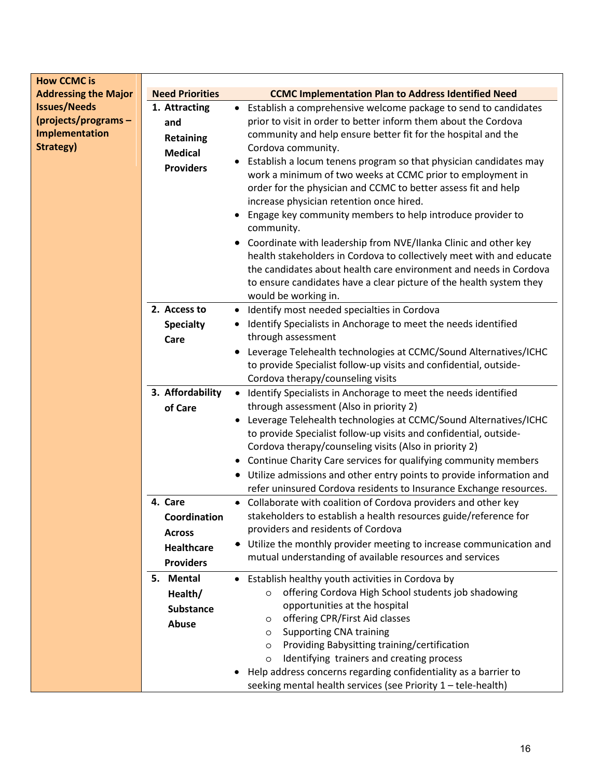| <b>How CCMC is</b>                                                        |                                                                                   |                                                                                                                                                                                                                                                                                                                                                                                                                                                                                                                                                                                                                                                                                                                                                                                                                                                            |
|---------------------------------------------------------------------------|-----------------------------------------------------------------------------------|------------------------------------------------------------------------------------------------------------------------------------------------------------------------------------------------------------------------------------------------------------------------------------------------------------------------------------------------------------------------------------------------------------------------------------------------------------------------------------------------------------------------------------------------------------------------------------------------------------------------------------------------------------------------------------------------------------------------------------------------------------------------------------------------------------------------------------------------------------|
| <b>Addressing the Major</b>                                               | <b>Need Priorities</b>                                                            | <b>CCMC Implementation Plan to Address Identified Need</b>                                                                                                                                                                                                                                                                                                                                                                                                                                                                                                                                                                                                                                                                                                                                                                                                 |
| <b>Issues/Needs</b><br>(projects/programs-<br>Implementation<br>Strategy) | 1. Attracting<br>and<br><b>Retaining</b><br><b>Medical</b><br><b>Providers</b>    | Establish a comprehensive welcome package to send to candidates<br>$\bullet$<br>prior to visit in order to better inform them about the Cordova<br>community and help ensure better fit for the hospital and the<br>Cordova community.<br>Establish a locum tenens program so that physician candidates may<br>work a minimum of two weeks at CCMC prior to employment in<br>order for the physician and CCMC to better assess fit and help<br>increase physician retention once hired.<br>Engage key community members to help introduce provider to<br>community.<br>Coordinate with leadership from NVE/Ilanka Clinic and other key<br>health stakeholders in Cordova to collectively meet with and educate<br>the candidates about health care environment and needs in Cordova<br>to ensure candidates have a clear picture of the health system they |
|                                                                           |                                                                                   | would be working in.                                                                                                                                                                                                                                                                                                                                                                                                                                                                                                                                                                                                                                                                                                                                                                                                                                       |
|                                                                           | 2. Access to<br><b>Specialty</b><br>Care                                          | Identify most needed specialties in Cordova<br>Identify Specialists in Anchorage to meet the needs identified<br>through assessment                                                                                                                                                                                                                                                                                                                                                                                                                                                                                                                                                                                                                                                                                                                        |
|                                                                           |                                                                                   | Leverage Telehealth technologies at CCMC/Sound Alternatives/ICHC<br>to provide Specialist follow-up visits and confidential, outside-<br>Cordova therapy/counseling visits                                                                                                                                                                                                                                                                                                                                                                                                                                                                                                                                                                                                                                                                                 |
|                                                                           | 3. Affordability<br>of Care                                                       | Identify Specialists in Anchorage to meet the needs identified<br>$\bullet$<br>through assessment (Also in priority 2)<br>Leverage Telehealth technologies at CCMC/Sound Alternatives/ICHC<br>to provide Specialist follow-up visits and confidential, outside-<br>Cordova therapy/counseling visits (Also in priority 2)<br>• Continue Charity Care services for qualifying community members<br>• Utilize admissions and other entry points to provide information and<br>refer uninsured Cordova residents to Insurance Exchange resources.                                                                                                                                                                                                                                                                                                             |
|                                                                           | 4. Care<br>Coordination<br><b>Across</b><br><b>Healthcare</b><br><b>Providers</b> | • Collaborate with coalition of Cordova providers and other key<br>stakeholders to establish a health resources guide/reference for<br>providers and residents of Cordova<br>• Utilize the monthly provider meeting to increase communication and<br>mutual understanding of available resources and services                                                                                                                                                                                                                                                                                                                                                                                                                                                                                                                                              |
|                                                                           | 5. Mental<br>Health/<br><b>Substance</b><br><b>Abuse</b>                          | • Establish healthy youth activities in Cordova by<br>offering Cordova High School students job shadowing<br>$\circ$<br>opportunities at the hospital<br>offering CPR/First Aid classes<br>O<br><b>Supporting CNA training</b><br>$\circ$<br>Providing Babysitting training/certification<br>$\circ$<br>Identifying trainers and creating process<br>O<br>Help address concerns regarding confidentiality as a barrier to<br>seeking mental health services (see Priority 1 - tele-health)                                                                                                                                                                                                                                                                                                                                                                 |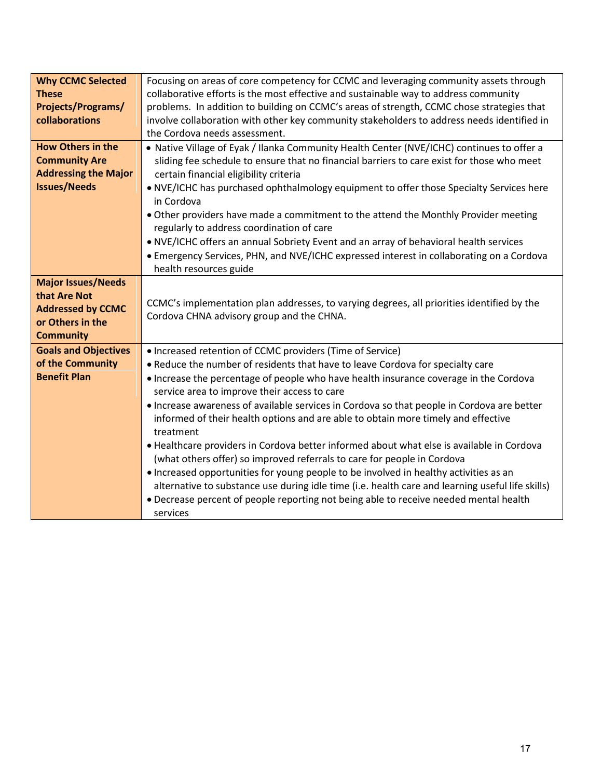| <b>Why CCMC Selected</b>    | Focusing on areas of core competency for CCMC and leveraging community assets through                                            |
|-----------------------------|----------------------------------------------------------------------------------------------------------------------------------|
| <b>These</b>                | collaborative efforts is the most effective and sustainable way to address community                                             |
| <b>Projects/Programs/</b>   | problems. In addition to building on CCMC's areas of strength, CCMC chose strategies that                                        |
| collaborations              | involve collaboration with other key community stakeholders to address needs identified in                                       |
|                             | the Cordova needs assessment.                                                                                                    |
|                             |                                                                                                                                  |
| <b>How Others in the</b>    | . Native Village of Eyak / Ilanka Community Health Center (NVE/ICHC) continues to offer a                                        |
| <b>Community Are</b>        | sliding fee schedule to ensure that no financial barriers to care exist for those who meet                                       |
| <b>Addressing the Major</b> | certain financial eligibility criteria                                                                                           |
| <b>Issues/Needs</b>         | . NVE/ICHC has purchased ophthalmology equipment to offer those Specialty Services here<br>in Cordova                            |
|                             | . Other providers have made a commitment to the attend the Monthly Provider meeting<br>regularly to address coordination of care |
|                             | . NVE/ICHC offers an annual Sobriety Event and an array of behavioral health services                                            |
|                             | • Emergency Services, PHN, and NVE/ICHC expressed interest in collaborating on a Cordova                                         |
|                             | health resources guide                                                                                                           |
|                             |                                                                                                                                  |
| <b>Major Issues/Needs</b>   |                                                                                                                                  |
| that Are Not                | CCMC's implementation plan addresses, to varying degrees, all priorities identified by the                                       |
| <b>Addressed by CCMC</b>    | Cordova CHNA advisory group and the CHNA.                                                                                        |
| or Others in the            |                                                                                                                                  |
| <b>Community</b>            |                                                                                                                                  |
| <b>Goals and Objectives</b> | • Increased retention of CCMC providers (Time of Service)                                                                        |
| of the Community            | . Reduce the number of residents that have to leave Cordova for specialty care                                                   |
| <b>Benefit Plan</b>         | • Increase the percentage of people who have health insurance coverage in the Cordova                                            |
|                             | service area to improve their access to care                                                                                     |
|                             | . Increase awareness of available services in Cordova so that people in Cordova are better                                       |
|                             | informed of their health options and are able to obtain more timely and effective<br>treatment                                   |
|                             | • Healthcare providers in Cordova better informed about what else is available in Cordova                                        |
|                             | (what others offer) so improved referrals to care for people in Cordova                                                          |
|                             | • Increased opportunities for young people to be involved in healthy activities as an                                            |
|                             | alternative to substance use during idle time (i.e. health care and learning useful life skills)                                 |
|                             | • Decrease percent of people reporting not being able to receive needed mental health                                            |
|                             | services                                                                                                                         |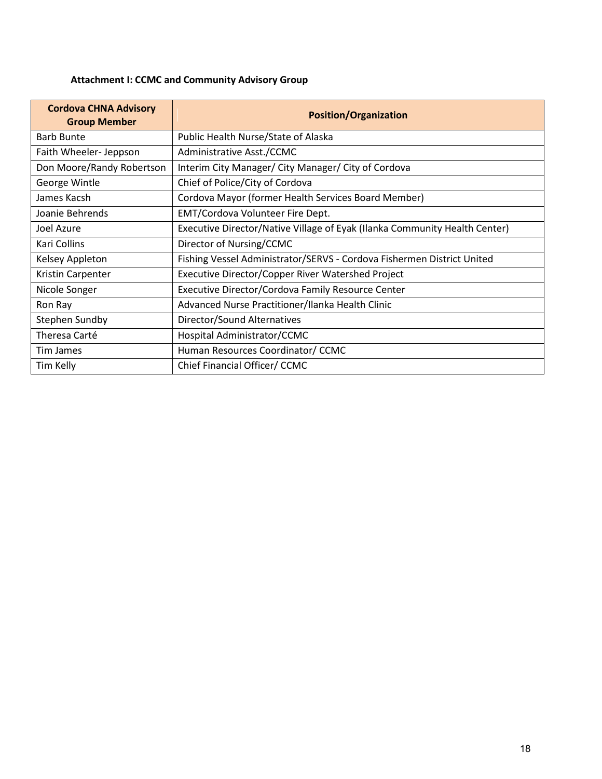# **Attachment I: CCMC and Community Advisory Group**

| <b>Cordova CHNA Advisory</b><br><b>Group Member</b> | <b>Position/Organization</b>                                               |
|-----------------------------------------------------|----------------------------------------------------------------------------|
| <b>Barb Bunte</b>                                   | Public Health Nurse/State of Alaska                                        |
| Faith Wheeler-Jeppson                               | Administrative Asst./CCMC                                                  |
| Don Moore/Randy Robertson                           | Interim City Manager/ City Manager/ City of Cordova                        |
| George Wintle                                       | Chief of Police/City of Cordova                                            |
| James Kacsh                                         | Cordova Mayor (former Health Services Board Member)                        |
| Joanie Behrends                                     | EMT/Cordova Volunteer Fire Dept.                                           |
| Joel Azure                                          | Executive Director/Native Village of Eyak (Ilanka Community Health Center) |
| Kari Collins                                        | Director of Nursing/CCMC                                                   |
| Kelsey Appleton                                     | Fishing Vessel Administrator/SERVS - Cordova Fishermen District United     |
| Kristin Carpenter                                   | Executive Director/Copper River Watershed Project                          |
| Nicole Songer                                       | Executive Director/Cordova Family Resource Center                          |
| Ron Ray                                             | Advanced Nurse Practitioner/Ilanka Health Clinic                           |
| Stephen Sundby                                      | Director/Sound Alternatives                                                |
| Theresa Carté                                       | Hospital Administrator/CCMC                                                |
| Tim James                                           | Human Resources Coordinator/ CCMC                                          |
| Tim Kelly                                           | Chief Financial Officer/ CCMC                                              |